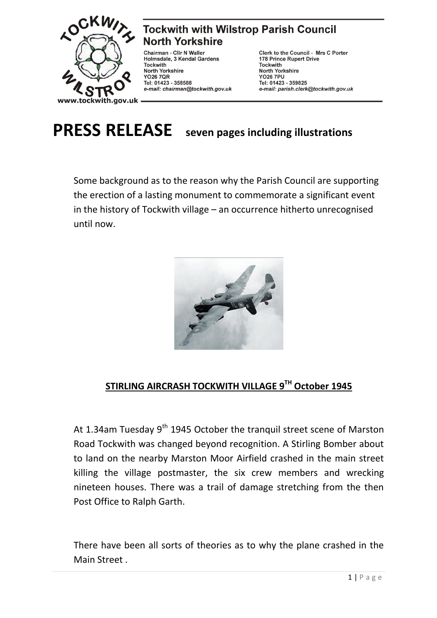

**Tockwith with Wilstrop Parish Council North Yorkshire** 

Chairman - Cllr N Waller Holmsdale, 3 Kendal Gardens **Tockwith** North Yorkshire<br>YO26 7QR Tel: 01423 - 358588 e-mail: chairman@tockwith.gov.uk

Clerk to the Council - Mrs C Porter 178 Prince Rupert Drive **Tockwith North Yorkshire YO26 7PU** Tel: 01423 - 359825 e-mail: parish.clerk@tockwith.gov.uk

**PRESS RELEASE seven pages including illustrations**

Some background as to the reason why the Parish Council are supporting the erection of a lasting monument to commemorate a significant event in the history of Tockwith village – an occurrence hitherto unrecognised until now.



## **STIRLING AIRCRASH TOCKWITH VILLAGE 9TH October 1945**

At 1.34am Tuesday 9<sup>th</sup> 1945 October the tranquil street scene of Marston Road Tockwith was changed beyond recognition. A Stirling Bomber about to land on the nearby Marston Moor Airfield crashed in the main street killing the village postmaster, the six crew members and wrecking nineteen houses. There was a trail of damage stretching from the then Post Office to Ralph Garth.

There have been all sorts of theories as to why the plane crashed in the Main Street .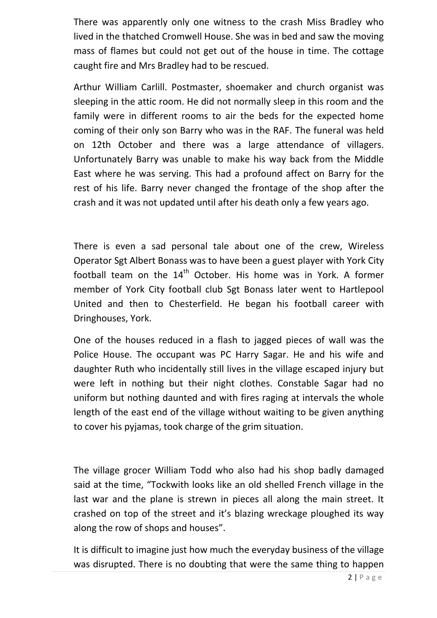There was apparently only one witness to the crash Miss Bradley who lived in the thatched Cromwell House. She was in bed and saw the moving mass of flames but could not get out of the house in time. The cottage caught fire and Mrs Bradley had to be rescued.

Arthur William Carlill. Postmaster, shoemaker and church organist was sleeping in the attic room. He did not normally sleep in this room and the family were in different rooms to air the beds for the expected home coming of their only son Barry who was in the RAF. The funeral was held on 12th October and there was a large attendance of villagers. Unfortunately Barry was unable to make his way back from the Middle East where he was serving. This had a profound affect on Barry for the rest of his life. Barry never changed the frontage of the shop after the crash and it was not updated until after his death only a few years ago.

There is even a sad personal tale about one of the crew, Wireless Operator Sgt Albert Bonass was to have been a guest player with York City football team on the  $14<sup>th</sup>$  October. His home was in York. A former member of York City football club Sgt Bonass later went to Hartlepool United and then to Chesterfield. He began his football career with Dringhouses, York.

One of the houses reduced in a flash to jagged pieces of wall was the Police House. The occupant was PC Harry Sagar. He and his wife and daughter Ruth who incidentally still lives in the village escaped injury but were left in nothing but their night clothes. Constable Sagar had no uniform but nothing daunted and with fires raging at intervals the whole length of the east end of the village without waiting to be given anything to cover his pyjamas, took charge of the grim situation.

The village grocer William Todd who also had his shop badly damaged said at the time, "Tockwith looks like an old shelled French village in the last war and the plane is strewn in pieces all along the main street. It crashed on top of the street and it's blazing wreckage ploughed its way along the row of shops and houses".

It is difficult to imagine just how much the everyday business of the village was disrupted. There is no doubting that were the same thing to happen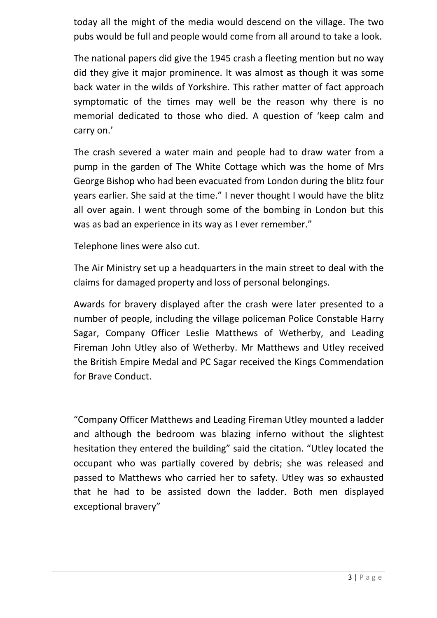today all the might of the media would descend on the village. The two pubs would be full and people would come from all around to take a look.

The national papers did give the 1945 crash a fleeting mention but no way did they give it major prominence. It was almost as though it was some back water in the wilds of Yorkshire. This rather matter of fact approach symptomatic of the times may well be the reason why there is no memorial dedicated to those who died. A question of 'keep calm and carry on.'

The crash severed a water main and people had to draw water from a pump in the garden of The White Cottage which was the home of Mrs George Bishop who had been evacuated from London during the blitz four years earlier. She said at the time." I never thought I would have the blitz all over again. I went through some of the bombing in London but this was as bad an experience in its way as I ever remember."

Telephone lines were also cut.

The Air Ministry set up a headquarters in the main street to deal with the claims for damaged property and loss of personal belongings.

Awards for bravery displayed after the crash were later presented to a number of people, including the village policeman Police Constable Harry Sagar, Company Officer Leslie Matthews of Wetherby, and Leading Fireman John Utley also of Wetherby. Mr Matthews and Utley received the British Empire Medal and PC Sagar received the Kings Commendation for Brave Conduct.

"Company Officer Matthews and Leading Fireman Utley mounted a ladder and although the bedroom was blazing inferno without the slightest hesitation they entered the building" said the citation. "Utley located the occupant who was partially covered by debris; she was released and passed to Matthews who carried her to safety. Utley was so exhausted that he had to be assisted down the ladder. Both men displayed exceptional bravery"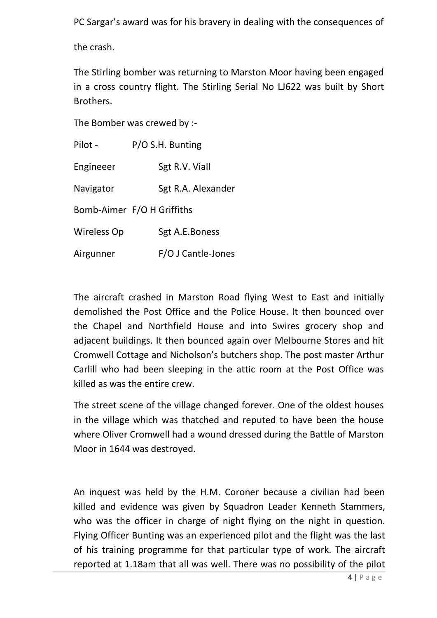PC Sargar's award was for his bravery in dealing with the consequences of

the crash.

The Stirling bomber was returning to Marston Moor having been engaged in a cross country flight. The Stirling Serial No LJ622 was built by Short Brothers.

The Bomber was crewed by :-

| Pilot -     | P/O S.H. Bunting           |
|-------------|----------------------------|
| Engineeer   | Sgt R.V. Viall             |
| Navigator   | Sgt R.A. Alexander         |
|             | Bomb-Aimer F/O H Griffiths |
| Wireless Op | Sgt A.E.Boness             |
| Airgunner   | F/O J Cantle-Jones         |

The aircraft crashed in Marston Road flying West to East and initially demolished the Post Office and the Police House. It then bounced over the Chapel and Northfield House and into Swires grocery shop and adjacent buildings. It then bounced again over Melbourne Stores and hit Cromwell Cottage and Nicholson's butchers shop. The post master Arthur Carlill who had been sleeping in the attic room at the Post Office was killed as was the entire crew.

The street scene of the village changed forever. One of the oldest houses in the village which was thatched and reputed to have been the house where Oliver Cromwell had a wound dressed during the Battle of Marston Moor in 1644 was destroyed.

An inquest was held by the H.M. Coroner because a civilian had been killed and evidence was given by Squadron Leader Kenneth Stammers, who was the officer in charge of night flying on the night in question. Flying Officer Bunting was an experienced pilot and the flight was the last of his training programme for that particular type of work. The aircraft reported at 1.18am that all was well. There was no possibility of the pilot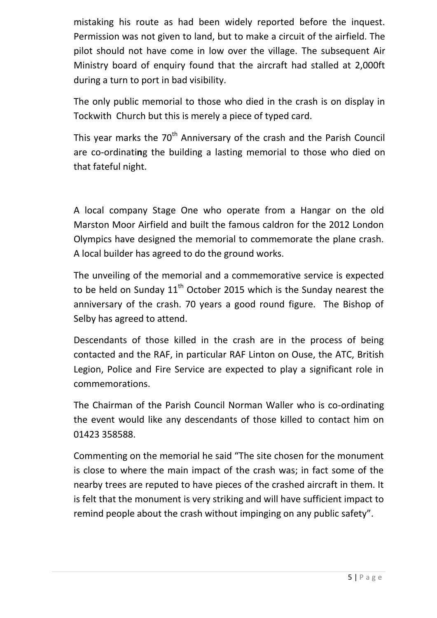mistaking his route as had been widely reported before the inquest. Permission was not given to land, but to make a circuit of the airfield. The pilot should not have come in low over the village. The subsequent Air Ministry board of enquiry found that the aircraft had stalled at 2,000ft during a turn to port in bad visibility.

The only public memorial to those who died in the crash is on display in Tockwith Church but this is merely a piece of typed card.

This year marks the 70<sup>th</sup> Anniversary of the crash and the Parish Council are co-ordinati**n**g the building a lasting memorial to those who died on that fateful night.

A local company Stage One who operate from a Hangar on the old Marston Moor Airfield and built the famous caldron for the 2012 London Olympics have designed the memorial to commemorate the plane crash. A local builder has agreed to do the ground works.

The unveiling of the memorial and a commemorative service is expected to be held on Sunday  $11^{th}$  October 2015 which is the Sunday nearest the anniversary of the crash. 70 years a good round figure. The Bishop of Selby has agreed to attend.

Descendants of those killed in the crash are in the process of being contacted and the RAF, in particular RAF Linton on Ouse, the ATC, British Legion, Police and Fire Service are expected to play a significant role in commemorations.

The Chairman of the Parish Council Norman Waller who is co-ordinating the event would like any descendants of those killed to contact him on 01423 358588.

Commenting on the memorial he said "The site chosen for the monument is close to where the main impact of the crash was; in fact some of the nearby trees are reputed to have pieces of the crashed aircraft in them. It is felt that the monument is very striking and will have sufficient impact to remind people about the crash without impinging on any public safety".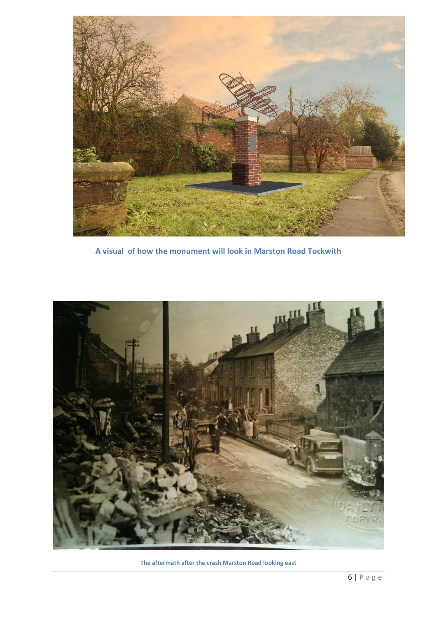

**A visual of how the monument will look in Marston Road Tockwith**



**The aftermath after the crash Marston Road looking east**